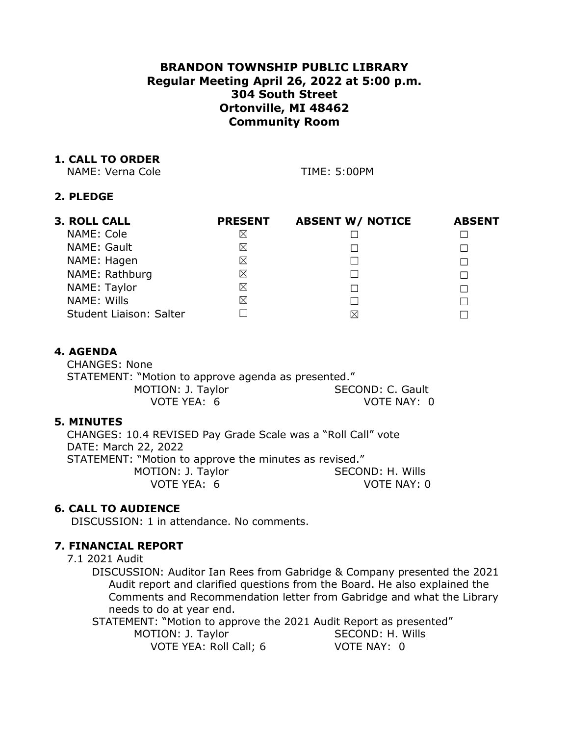# **BRANDON TOWNSHIP PUBLIC LIBRARY Regular Meeting April 26, 2022 at 5:00 p.m. 304 South Street Ortonville, MI 48462 Community Room**

## **1. CALL TO ORDER**

NAME: Verna Cole TIME: 5:00PM

## **2. PLEDGE**

| <b>3. ROLL CALL</b>     | <b>PRESENT</b> | <b>ABSENT W/ NOTICE</b> | <b>ABSENT</b> |
|-------------------------|----------------|-------------------------|---------------|
| NAME: Cole              | Χ              |                         |               |
| NAME: Gault             | ⊠              | П                       |               |
| NAME: Hagen             | X              |                         |               |
| NAME: Rathburg          | X              |                         |               |
| NAME: Taylor            | X              | П                       |               |
| NAME: Wills             | X              |                         |               |
| Student Liaison: Salter |                | ⋉                       |               |

# **4. AGENDA**

CHANGES: None STATEMENT: "Motion to approve agenda as presented." MOTION: J. Taylor SECOND: C. Gault VOTE YEA: 6 VOTE NAY: 0

## **5. MINUTES**

CHANGES: 10.4 REVISED Pay Grade Scale was a "Roll Call" vote DATE: March 22, 2022 STATEMENT: "Motion to approve the minutes as revised." MOTION: J. Taylor SECOND: H. Wills VOTE YEA: 6 VOTE NAY: 0

## **6. CALL TO AUDIENCE**

DISCUSSION: 1 in attendance. No comments.

# **7. FINANCIAL REPORT**

### 7.1 2021 Audit

DISCUSSION: Auditor Ian Rees from Gabridge & Company presented the 2021 Audit report and clarified questions from the Board. He also explained the Comments and Recommendation letter from Gabridge and what the Library needs to do at year end.

STATEMENT: "Motion to approve the 2021 Audit Report as presented" MOTION: J. Taylor SECOND: H. Wills VOTE YEA: Roll Call; 6 VOTE NAY: 0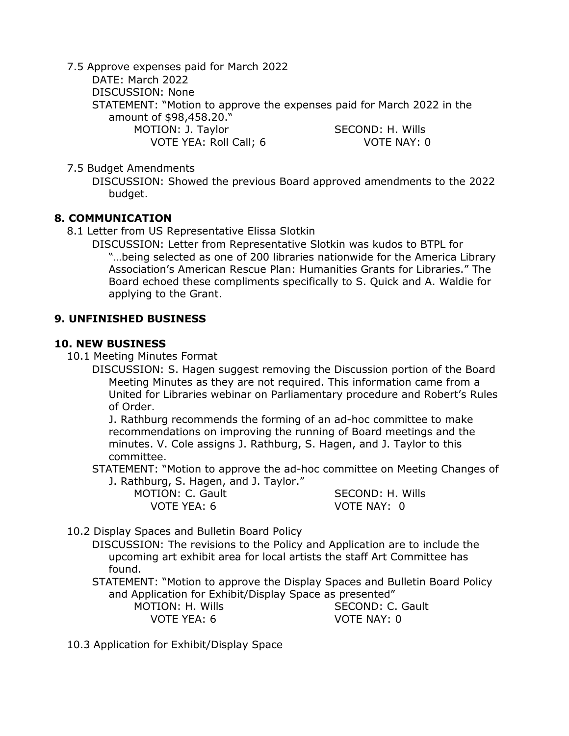7.5 Approve expenses paid for March 2022 DATE: March 2022 DISCUSSION: None STATEMENT: "Motion to approve the expenses paid for March 2022 in the amount of \$98,458.20." MOTION: J. Taylor SECOND: H. Wills VOTE YEA: Roll Call; 6 VOTE NAY: 0

7.5 Budget Amendments

DISCUSSION: Showed the previous Board approved amendments to the 2022 budget.

### **8. COMMUNICATION**

8.1 Letter from US Representative Elissa Slotkin

DISCUSSION: Letter from Representative Slotkin was kudos to BTPL for "…being selected as one of 200 libraries nationwide for the America Library Association's American Rescue Plan: Humanities Grants for Libraries." The Board echoed these compliments specifically to S. Quick and A. Waldie for applying to the Grant.

### **9. UNFINISHED BUSINESS**

#### **10. NEW BUSINESS**

10.1 Meeting Minutes Format

DISCUSSION: S. Hagen suggest removing the Discussion portion of the Board Meeting Minutes as they are not required. This information came from a United for Libraries webinar on Parliamentary procedure and Robert's Rules of Order.

J. Rathburg recommends the forming of an ad-hoc committee to make recommendations on improving the running of Board meetings and the minutes. V. Cole assigns J. Rathburg, S. Hagen, and J. Taylor to this committee.

STATEMENT: "Motion to approve the ad-hoc committee on Meeting Changes of

J. Rathburg, S. Hagen, and J. Taylor."

VOTE YEA: 6 VOTE NAY: 0

MOTION: C. Gault SECOND: H. Wills

10.2 Display Spaces and Bulletin Board Policy

DISCUSSION: The revisions to the Policy and Application are to include the upcoming art exhibit area for local artists the staff Art Committee has found.

STATEMENT: "Motion to approve the Display Spaces and Bulletin Board Policy and Application for Exhibit/Display Space as presented"

MOTION: H. Wills SECOND: C. Gault

VOTE YEA: 6 VOTE NAY: 0

10.3 Application for Exhibit/Display Space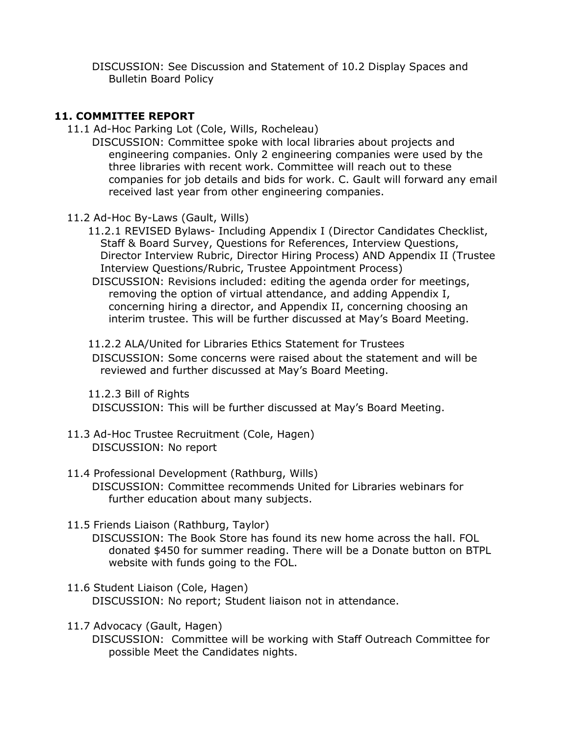DISCUSSION: See Discussion and Statement of 10.2 Display Spaces and Bulletin Board Policy

## **11. COMMITTEE REPORT**

11.1 Ad-Hoc Parking Lot (Cole, Wills, Rocheleau)

DISCUSSION: Committee spoke with local libraries about projects and engineering companies. Only 2 engineering companies were used by the three libraries with recent work. Committee will reach out to these companies for job details and bids for work. C. Gault will forward any email received last year from other engineering companies.

- 11.2 Ad-Hoc By-Laws (Gault, Wills)
	- 11.2.1 REVISED Bylaws- Including Appendix I (Director Candidates Checklist, Staff & Board Survey, Questions for References, Interview Questions, Director Interview Rubric, Director Hiring Process) AND Appendix II (Trustee Interview Questions/Rubric, Trustee Appointment Process)
	- DISCUSSION: Revisions included: editing the agenda order for meetings, removing the option of virtual attendance, and adding Appendix I, concerning hiring a director, and Appendix II, concerning choosing an interim trustee. This will be further discussed at May's Board Meeting.

### 11.2.2 ALA/United for Libraries Ethics Statement for Trustees

DISCUSSION: Some concerns were raised about the statement and will be reviewed and further discussed at May's Board Meeting.

11.2.3 Bill of Rights DISCUSSION: This will be further discussed at May's Board Meeting.

11.3 Ad-Hoc Trustee Recruitment (Cole, Hagen) DISCUSSION: No report

#### 11.4 Professional Development (Rathburg, Wills) DISCUSSION: Committee recommends United for Libraries webinars for further education about many subjects.

11.5 Friends Liaison (Rathburg, Taylor)

DISCUSSION: The Book Store has found its new home across the hall. FOL donated \$450 for summer reading. There will be a Donate button on BTPL website with funds going to the FOL.

- 11.6 Student Liaison (Cole, Hagen) DISCUSSION: No report; Student liaison not in attendance.
- 11.7 Advocacy (Gault, Hagen) DISCUSSION: Committee will be working with Staff Outreach Committee for possible Meet the Candidates nights.